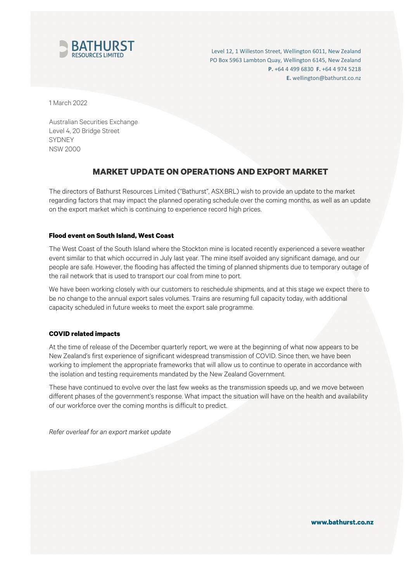

Level 12, 1 Willeston Street, Wellington 6011, New Zealand PO Box 5963 Lambton Quay, Wellington 6145, New Zealand **P.** +64 4 499 6830 **F.** +64 4 974 5218 **E.** wellington@bathurst.co.nz

1 March 2022

Australian Securities Exchange Level 4, 20 Bridge Street SYDNEY NSW 2000

# **MARKET UPDATE ON OPERATIONS AND EXPORT MARKET**

The directors of Bathurst Resources Limited ("Bathurst", ASX:BRL) wish to provide an update to the market regarding factors that may impact the planned operating schedule over the coming months, as well as an update on the export market which is continuing to experience record high prices.

## **Flood event on South Island, West Coast**

The West Coast of the South Island where the Stockton mine is located recently experienced a severe weather event similar to that which occurred in July last year. The mine itself avoided any significant damage, and our people are safe. However, the flooding has affected the timing of planned shipments due to temporary outage of the rail network that is used to transport our coal from mine to port.

We have been working closely with our customers to reschedule shipments, and at this stage we expect there to be no change to the annual export sales volumes. Trains are resuming full capacity today, with additional capacity scheduled in future weeks to meet the export sale programme.

## **COVID related impacts**

At the time of release of the December quarterly report, we were at the beginning of what now appears to be New Zealand's first experience of significant widespread transmission of COVID. Since then, we have been working to implement the appropriate frameworks that will allow us to continue to operate in accordance with the isolation and testing requirements mandated by the New Zealand Government.

These have continued to evolve over the last few weeks as the transmission speeds up, and we move between different phases of the government's response. What impact the situation will have on the health and availability of our workforce over the coming months is difficult to predict.

*Refer overleaf for an export market update*